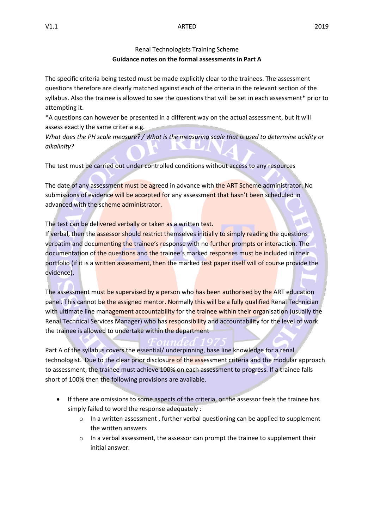## Renal Technologists Training Scheme **Guidance notes on the formal assessments in Part A**

The specific criteria being tested must be made explicitly clear to the trainees. The assessment questions therefore are clearly matched against each of the criteria in the relevant section of the syllabus. Also the trainee is allowed to see the questions that will be set in each assessment\* prior to attempting it.

\*A questions can however be presented in a different way on the actual assessment, but it will assess exactly the same criteria e.g.

*What does the PH scale measure? / What is the measuring scale that is used to determine acidity or alkalinity?*

The test must be carried out under controlled conditions without access to any resources

The date of any assessment must be agreed in advance with the ART Scheme administrator. No submissions of evidence will be accepted for any assessment that hasn't been scheduled in advanced with the scheme administrator.

The test can be delivered verbally or taken as a written test.

If verbal, then the assessor should restrict themselves initially to simply reading the questions verbatim and documenting the trainee's response with no further prompts or interaction. The documentation of the questions and the trainee's marked responses must be included in their portfolio (if it is a written assessment, then the marked test paper itself will of course provide the evidence).

The assessment must be supervised by a person who has been authorised by the ART education panel. This cannot be the assigned mentor. Normally this will be a fully qualified Renal Technician with ultimate line management accountability for the trainee within their organisation (usually the Renal Technical Services Manager) who has responsibility and accountability for the level of work the trainee is allowed to undertake within the department

Part A of the syllabus covers the essential/ underpinning, base line knowledge for a renal technologist. Due to the clear prior disclosure of the assessment criteria and the modular approach to assessment, the trainee must achieve 100% on each assessment to progress. If a trainee falls short of 100% then the following provisions are available.

- If there are omissions to some aspects of the criteria, or the assessor feels the trainee has simply failed to word the response adequately :
	- $\circ$  In a written assessment, further verbal questioning can be applied to supplement the written answers
	- o In a verbal assessment, the assessor can prompt the trainee to supplement their initial answer.